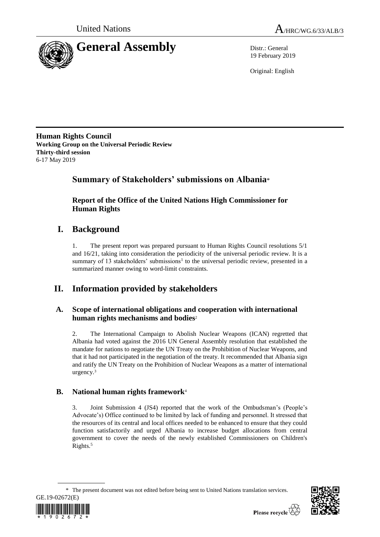



19 February 2019

Original: English

**Human Rights Council Working Group on the Universal Periodic Review Thirty-third session** 6-17 May 2019

# **Summary of Stakeholders' submissions on Albania**\*

**Report of the Office of the United Nations High Commissioner for Human Rights**

# **I. Background**

1. The present report was prepared pursuant to Human Rights Council resolutions 5/1 and 16/21, taking into consideration the periodicity of the universal periodic review. It is a summary of 13 stakeholders' submissions<sup>1</sup> to the universal periodic review, presented in a summarized manner owing to word-limit constraints.

# **II. Information provided by stakeholders**

# **A. Scope of international obligations and cooperation with international human rights mechanisms and bodies**<sup>2</sup>

2. The International Campaign to Abolish Nuclear Weapons (ICAN) regretted that Albania had voted against the 2016 UN General Assembly resolution that established the mandate for nations to negotiate the UN Treaty on the Prohibition of Nuclear Weapons, and that it had not participated in the negotiation of the treaty. It recommended that Albania sign and ratify the UN Treaty on the Prohibition of Nuclear Weapons as a matter of international urgency.<sup>3</sup>

# **B. National human rights framework**<sup>4</sup>

3. Joint Submission 4 (JS4) reported that the work of the Ombudsman's (People's Advocate's) Office continued to be limited by lack of funding and personnel. It stressed that the resources of its central and local offices needed to be enhanced to ensure that they could function satisfactorily and urged Albania to increase budget allocations from central government to cover the needs of the newly established Commissioners on Children's Rights.<sup>5</sup>

<sup>\*</sup> The present document was not edited before being sent to United Nations translation services.



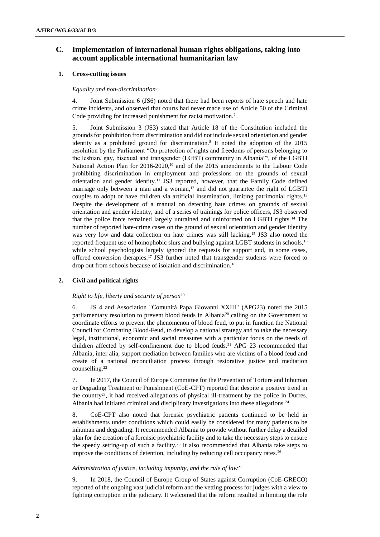# **C. Implementation of international human rights obligations, taking into account applicable international humanitarian law**

# **1. Cross-cutting issues**

# *Equality and non-discrimination*<sup>6</sup>

4. Joint Submission 6 (JS6) noted that there had been reports of hate speech and hate crime incidents, and observed that courts had never made use of Article 50 of the Criminal Code providing for increased punishment for racist motivation.<sup>7</sup>

5. Joint Submission 3 (JS3) stated that Article 18 of the Constitution included the grounds for prohibition from discrimination and did not include sexual orientation and gender identity as a prohibited ground for discrimination.<sup>8</sup> It noted the adoption of the 2015 resolution by the Parliament "On protection of rights and freedoms of persons belonging to the lesbian, gay, bisexual and transgender (LGBT) community in Albania"<sup>9</sup> , of the LGBTI National Action Plan for 2016-2020,<sup>10</sup> and of the 2015 amendments to the Labour Code prohibiting discrimination in employment and professions on the grounds of sexual orientation and gender identity.<sup>11</sup> JS3 reported, however, that the Family Code defined marriage only between a man and a woman, $12$  and did not guarantee the right of LGBTI couples to adopt or have children via artificial insemination, limiting patrimonial rights.<sup>13</sup> Despite the development of a manual on detecting hate crimes on grounds of sexual orientation and gender identity, and of a series of trainings for police officers, JS3 observed that the police force remained largely untrained and uninformed on LGBTI rights.<sup>14</sup> The number of reported hate-crime cases on the ground of sexual orientation and gender identity was very low and data collection on hate crimes was still lacking.<sup>15</sup> JS3 also noted the reported frequent use of homophobic slurs and bullying against LGBT students in schools,<sup>16</sup> while school psychologists largely ignored the requests for support and, in some cases, offered conversion therapies.<sup>17</sup> JS3 further noted that transgender students were forced to drop out from schools because of isolation and discrimination.<sup>18</sup>

# **2. Civil and political rights**

### *Right to life, liberty and security of person*<sup>19</sup>

6. JS 4 and [Association "Comunità Papa Giovanni XXIII"](http://uprmgt.in.ohchr.org/upr_team/orgprofileview.aspx?usrnm=apg23) (APG23) noted the 2015 parliamentary resolution to prevent blood feuds in Albania<sup>20</sup> calling on the Government to coordinate efforts to prevent the phenomenon of blood feud, to put in function the National Council for Combating Blood-Feud, to develop a national strategy and to take the necessary legal, institutional, economic and social measures with a particular focus on the needs of children affected by self-confinement due to blood feuds.<sup>21</sup> APG 23 recommended that Albania, inter alia, support mediation between families who are victims of a blood feud and create of a national reconciliation process through restorative justice and mediation counselling.<sup>22</sup>

7. In 2017, the Council of Europe Committee for the Prevention of Torture and Inhuman or Degrading Treatment or Punishment (CoE-CPT) reported that despite a positive trend in the country<sup>23</sup>, it had received allegations of physical ill-treatment by the police in Durres. Albania had initiated criminal and disciplinary investigations into these allegations.<sup>24</sup>

8. CoE-CPT also noted that forensic psychiatric patients continued to be held in establishments under conditions which could easily be considered for many patients to be inhuman and degrading. It recommended Albania to provide without further delay a detailed plan for the creation of a forensic psychiatric facility and to take the necessary steps to ensure the speedy setting-up of such a facility.<sup>25</sup> It also recommended that Albania take steps to improve the conditions of detention, including by reducing cell occupancy rates.<sup>26</sup>

### *Administration of justice, including impunity, and the rule of law*<sup>27</sup>

9. In 2018, the Council of Europe Group of States against Corruption (CoE-GRECO) reported of the ongoing vast judicial reform and the vetting process for judges with a view to fighting corruption in the judiciary. It welcomed that the reform resulted in limiting the role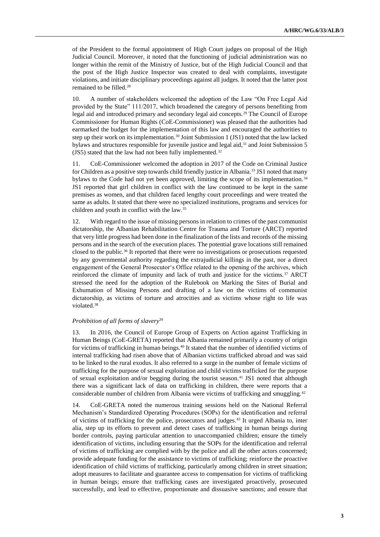of the President to the formal appointment of High Court judges on proposal of the High Judicial Council. Moreover, it noted that the functioning of judicial administration was no longer within the remit of the Ministry of Justice, but of the High Judicial Council and that the post of the High Justice Inspector was created to deal with complaints, investigate violations, and initiate disciplinary proceedings against all judges. It noted that the latter post remained to be filled.<sup>28</sup>

10. A number of stakeholders welcomed the adoption of the Law "On Free Legal Aid provided by the State" 111/2017, which broadened the category of persons benefiting from legal aid and introduced primary and secondary legal aid concepts.<sup>29</sup> The Council of Europe Commissioner for Human Rights (CoE-Commissioner) was pleased that the authorities had earmarked the budget for the implementation of this law and encouraged the authorities to step up their work on its implementation.<sup>30</sup> Joint Submission 1 (JS1) noted that the law lacked bylaws and structures responsible for juvenile justice and legal aid, $31$  and Joint Submission 5 (JS5) stated that the law had not been fully implemented.<sup>32</sup>

11. CoE-Commissioner welcomed the adoption in 2017 of the Code on Criminal Justice for Children as a positive step towards child friendly justice in Albania.<sup>33</sup> JS1 noted that many bylaws to the Code had not yet been approved, limiting the scope of its implementation.<sup>34</sup> JS1 reported that girl children in conflict with the law continued to be kept in the same premises as women, and that children faced lengthy court proceedings and were treated the same as adults. It stated that there were no specialized institutions, programs and services for children and youth in conflict with the law.<sup>35</sup>

12. With regard to the issue of missing persons in relation to crimes of the past communist dictatorship, the Albanian Rehabilitation Centre for Trauma and Torture (ARCT) reported that very little progress had been done in the finalization of the lists and records of the missing persons and in the search of the execution places. The potential grave locations still remained closed to the public.<sup>36</sup> It reported that there were no investigations or prosecutions requested by any governmental authority regarding the extrajudicial killings in the past, nor a direct engagement of the General Prosecutor's Office related to the opening of the archives, which reinforced the climate of impunity and lack of truth and justice for the victims.<sup>37</sup> ARCT stressed the need for the adoption of the Rulebook on Marking the Sites of Burial and Exhumation of Missing Persons and drafting of a law on the victims of communist dictatorship, as victims of torture and atrocities and as victims whose right to life was violated.<sup>38</sup>

### *Prohibition of all forms of slavery*<sup>39</sup>

13. In 2016, the Council of Europe Group of Experts on Action against Trafficking in Human Beings (CoE-GRETA) reported that Albania remained primarily a country of origin for victims of trafficking in human beings.<sup>40</sup> It stated that the number of identified victims of internal trafficking had risen above that of Albanian victims trafficked abroad and was said to be linked to the rural exodus. It also referred to a surge in the number of female victims of trafficking for the purpose of sexual exploitation and child victims trafficked for the purpose of sexual exploitation and/or begging during the tourist season.<sup>41</sup> JS1 noted that although there was a significant lack of data on trafficking in children, there were reports that a considerable number of children from Albania were victims of trafficking and smuggling.<sup>42</sup>

14. CoE-GRETA noted the numerous training sessions held on the National Referral Mechanism's Standardized Operating Procedures (SOPs) for the identification and referral of victims of trafficking for the police, prosecutors and judges.<sup>43</sup> It urged Albania to, inter alia, step up its efforts to prevent and detect cases of trafficking in human beings during border controls, paying particular attention to unaccompanied children; ensure the timely identification of victims, including ensuring that the SOPs for the identification and referral of victims of trafficking are complied with by the police and all the other actors concerned; provide adequate funding for the assistance to victims of trafficking; reinforce the proactive identification of child victims of trafficking, particularly among children in street situation; adopt measures to facilitate and guarantee access to compensation for victims of trafficking in human beings; ensure that trafficking cases are investigated proactively, prosecuted successfully, and lead to effective, proportionate and dissuasive sanctions; and ensure that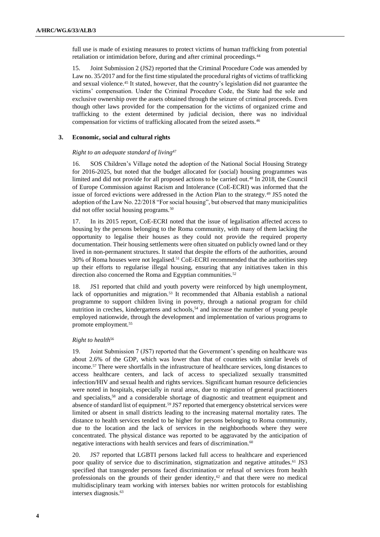full use is made of existing measures to protect victims of human trafficking from potential retaliation or intimidation before, during and after criminal proceedings.<sup>44</sup>

15. Joint Submission 2 (JS2) reported that the Criminal Procedure Code was amended by Law no. 35/2017 and for the first time stipulated the procedural rights of victims of trafficking and sexual violence.<sup>45</sup> It stated, however, that the country's legislation did not guarantee the victims' compensation. Under the Criminal Procedure Code, the State had the sole and exclusive ownership over the assets obtained through the seizure of criminal proceeds. Even though other laws provided for the compensation for the victims of organized crime and trafficking to the extent determined by judicial decision, there was no individual compensation for victims of trafficking allocated from the seized assets.<sup>46</sup>

# **3. Economic, social and cultural rights**

# *Right to an adequate standard of living*<sup>47</sup>

16. SOS Children's Village noted the adoption of the National Social Housing Strategy for 2016-2025, but noted that the budget allocated for (social) housing programmes was limited and did not provide for all proposed actions to be carried out.<sup>48</sup> In 2018, the Council of Europe Commission against Racism and Intolerance (CoE-ECRI) was informed that the issue of forced evictions were addressed in the Action Plan to the strategy.<sup>49</sup> JS5 noted the adoption of the Law No. 22/2018 "For social housing", but observed that many municipalities did not offer social housing programs.<sup>50</sup>

17. In its 2015 report, CoE-ECRI noted that the issue of legalisation affected access to housing by the persons belonging to the Roma community, with many of them lacking the opportunity to legalise their houses as they could not provide the required property documentation. Their housing settlements were often situated on publicly owned land or they lived in non-permanent structures. It stated that despite the efforts of the authorities, around 30% of Roma houses were not legalised.<sup>51</sup> CoE-ECRI recommended that the authorities step up their efforts to regularise illegal housing, ensuring that any initiatives taken in this direction also concerned the Roma and Egyptian communities.<sup>52</sup>

18. JS1 reported that child and youth poverty were reinforced by high unemployment, lack of opportunities and migration.<sup>53</sup> It recommended that Albania establish a national programme to support children living in poverty, through a national program for child nutrition in creches, kindergartens and schools,<sup>54</sup> and increase the number of young people employed nationwide, through the development and implementation of various programs to promote employment.<sup>55</sup>

# *Right to health*<sup>56</sup>

19. Joint Submission 7 (JS7) reported that the Government's spending on healthcare was about 2.6% of the GDP, which was lower than that of countries with similar levels of income.<sup>57</sup> There were shortfalls in the infrastructure of healthcare services, long distances to access healthcare centers, and lack of access to specialized sexually transmitted infection/HIV and sexual health and rights services. Significant human resource deficiencies were noted in hospitals, especially in rural areas, due to migration of general practitioners and specialists,<sup>58</sup> and a considerable shortage of diagnostic and treatment equipment and absence of standard list of equipment.<sup>59</sup> JS7 reported that emergency obstetrical services were limited or absent in small districts leading to the increasing maternal mortality rates. The distance to health services tended to be higher for persons belonging to Roma community, due to the location and the lack of services in the neighborhoods where they were concentrated. The physical distance was reported to be aggravated by the anticipation of negative interactions with health services and fears of discrimination.<sup>60</sup>

20. JS7 reported that LGBTI persons lacked full access to healthcare and experienced poor quality of service due to discrimination, stigmatization and negative attitudes.<sup>61</sup> JS3 specified that transgender persons faced discrimination or refusal of services from health professionals on the grounds of their gender identity, $62$  and that there were no medical multidisciplinary team working with intersex babies nor written protocols for establishing intersex diagnosis.63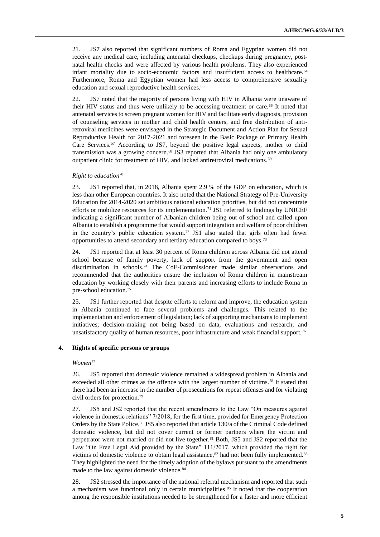21. JS7 also reported that significant numbers of Roma and Egyptian women did not receive any medical care, including antenatal checkups, checkups during pregnancy, postnatal health checks and were affected by various health problems. They also experienced infant mortality due to socio-economic factors and insufficient access to healthcare.<sup>64</sup> Furthermore, Roma and Egyptian women had less access to comprehensive sexuality education and sexual reproductive health services.<sup>65</sup>

22. JS7 noted that the majority of persons living with HIV in Albania were unaware of their HIV status and thus were unlikely to be accessing treatment or care.<sup>66</sup> It noted that antenatal services to screen pregnant women for HIV and facilitate early diagnosis, provision of counseling services in mother and child health centers, and free distribution of antiretroviral medicines were envisaged in the Strategic Document and Action Plan for Sexual Reproductive Health for 2017-2021 and foreseen in the Basic Package of Primary Health Care Services.<sup>67</sup> According to JS7, beyond the positive legal aspects, mother to child transmission was a growing concern.<sup>68</sup> JS3 reported that Albania had only one ambulatory outpatient clinic for treatment of HIV, and lacked antiretroviral medications.<sup>69</sup>

#### *Right to education*<sup>70</sup>

23. JS1 reported that, in 2018, Albania spent 2.9 % of the GDP on education, which is less than other European countries. It also noted that the National Strategy of Pre-University Education for 2014-2020 set ambitious national education priorities, but did not concentrate efforts or mobilize resources for its implementation.<sup>71</sup> JS1 referred to findings by UNICEF indicating a significant number of Albanian children being out of school and called upon Albania to establish a programme that would support integration and welfare of poor children in the country's public education system.<sup>72</sup> JS1 also stated that girls often had fewer opportunities to attend secondary and tertiary education compared to boys.<sup>73</sup>

24. JS1 reported that at least 30 percent of Roma children across Albania did not attend school because of family poverty, lack of support from the government and open discrimination in schools.<sup>74</sup> The CoE-Commissioner made similar observations and recommended that the authorities ensure the inclusion of Roma children in mainstream education by working closely with their parents and increasing efforts to include Roma in pre-school education.<sup>75</sup>

25. JS1 further reported that despite efforts to reform and improve, the education system in Albania continued to face several problems and challenges. This related to the implementation and enforcement of legislation; lack of supporting mechanisms to implement initiatives; decision-making not being based on data, evaluations and research; and unsatisfactory quality of human resources, poor infrastructure and weak financial support.<sup>76</sup>

### **4. Rights of specific persons or groups**

#### *Women*<sup>77</sup>

26. JS5 reported that domestic violence remained a widespread problem in Albania and exceeded all other crimes as the offence with the largest number of victims.<sup>78</sup> It stated that there had been an increase in the number of prosecutions for repeat offenses and for violating civil orders for protection*.* 79

27. JS5 and JS2 reported that the recent amendments to the Law "On measures against violence in domestic relations" 7/2018, for the first time, provided for Emergency Protection Orders by the State Police.<sup>80</sup> JS5 also reported that article 130/a of the Criminal Code defined domestic violence, but did not cover current or former partners where the victim and perpetrator were not married or did not live together.<sup>81</sup> Both, JS5 and JS2 reported that the Law "On Free Legal Aid provided by the State" 111/2017, which provided the right for victims of domestic violence to obtain legal assistance, $82$  had not been fully implemented. $83$ They highlighted the need for the timely adoption of the bylaws pursuant to the amendments made to the law against domestic violence.<sup>84</sup>

28. JS2 stressed the importance of the national referral mechanism and reported that such a mechanism was functional only in certain municipalities.<sup>85</sup> It noted that the cooperation among the responsible institutions needed to be strengthened for a faster and more efficient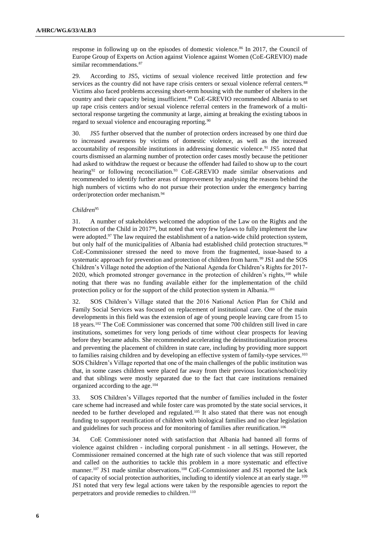response in following up on the episodes of domestic violence.<sup>86</sup> In 2017, the Council of Europe Group of Experts on Action against Violence against Women (CoE-GREVIO) made similar recommendations.<sup>87</sup>

29. According to JS5, victims of sexual violence received little protection and few services as the country did not have rape crisis centers or sexual violence referral centers.<sup>88</sup> Victims also faced problems accessing short-term housing with the number of shelters in the country and their capacity being insufficient.<sup>89</sup> CoE-GREVIO recommended Albania to set up rape crisis centers and/or sexual violence referral centers in the framework of a multisectoral response targeting the community at large, aiming at breaking the existing taboos in regard to sexual violence and encouraging reporting.<sup>90</sup>

30. JS5 further observed that the number of protection orders increased by one third due to increased awareness by victims of domestic violence, as well as the increased accountability of responsible institutions in addressing domestic violence.<sup>91</sup> JS5 noted that courts dismissed an alarming number of protection order cases mostly because the petitioner had asked to withdraw the request or because the offender had failed to show up to the court hearing<sup>92</sup> or following reconciliation.<sup>93</sup> CoE-GREVIO made similar observations and recommended to identify further areas of improvement by analysing the reasons behind the high numbers of victims who do not pursue their protection under the emergency barring order/protection order mechanism.<sup>94</sup>

## *Children*<sup>95</sup>

31. A number of stakeholders welcomed the adoption of the Law on the Rights and the Protection of the Child in 2017<sup>96</sup>, but noted that very few bylaws to fully implement the law were adopted.<sup>97</sup> The law required the establishment of a nation-wide child protection system, but only half of the municipalities of Albania had established child protection structures.<sup>98</sup> CoE-Commissioner stressed the need to move from the fragmented, issue-based to a systematic approach for prevention and protection of children from harm.<sup>99</sup> JS1 and the SOS Children's Village noted the adoption of the National Agenda for Children's Rights for 2017- 2020, which promoted stronger governance in the protection of children's rights,<sup>100</sup> while noting that there was no funding available either for the implementation of the child protection policy or for the support of the child protection system in Albania.<sup>101</sup>

32. SOS Children's Village stated that the 2016 National Action Plan for Child and Family Social Services was focused on replacement of institutional care. One of the main developments in this field was the extension of age of young people leaving care from 15 to 18 years.<sup>102</sup> The CoE Commissioner was concerned that some 700 children still lived in care institutions, sometimes for very long periods of time without clear prospects for leaving before they became adults. She recommended accelerating the deinstitutionalization process and preventing the placement of children in state care, including by providing more support to families raising children and by developing an effective system of family-type services.<sup>103</sup> SOS Children's Village reported that one of the main challenges of the public institution was that, in some cases children were placed far away from their previous location/school/city and that siblings were mostly separated due to the fact that care institutions remained organized according to the age.<sup>104</sup>

33. SOS Children's Villages reported that the number of families included in the foster care scheme had increased and while foster care was promoted by the state social services, it needed to be further developed and regulated.<sup>105</sup> It also stated that there was not enough funding to support reunification of children with biological families and no clear legislation and guidelines for such process and for monitoring of families after reunification.<sup>106</sup>

34. CoE Commissioner noted with satisfaction that Albania had banned all forms of violence against children - including corporal punishment - in all settings. However, the Commissioner remained concerned at the high rate of such violence that was still reported and called on the authorities to tackle this problem in a more systematic and effective manner.<sup>107</sup> JS1 made similar observations.<sup>108</sup> CoE-Commissioner and JS1 reported the lack of capacity of social protection authorities, including to identify violence at an early stage.<sup>109</sup> JS1 noted that very few legal actions were taken by the responsible agencies to report the perpetrators and provide remedies to children.<sup>110</sup>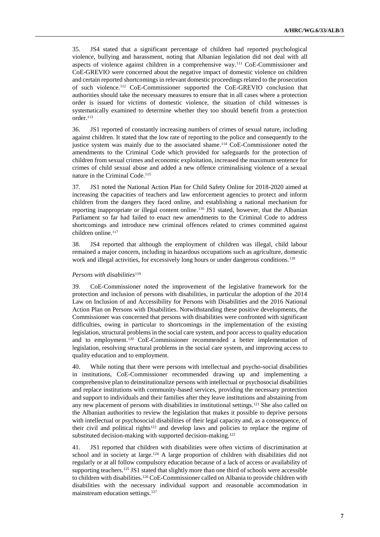35. JS4 stated that a significant percentage of children had reported psychological violence, bullying and harassment, noting that Albanian legislation did not deal with all aspects of violence against children in a comprehensive way.<sup>111</sup> CoE-Commissioner and CoE-GREVIO were concerned about the negative impact of domestic violence on children and certain reported shortcomings in relevant domestic proceedings related to the prosecution of such violence.<sup>112</sup> CoE-Commissioner supported the CoE-GREVIO conclusion that authorities should take the necessary measures to ensure that in all cases where a protection order is issued for victims of domestic violence, the situation of child witnesses is systematically examined to determine whether they too should benefit from a protection order.<sup>113</sup>

36. JS1 reported of constantly increasing numbers of crimes of sexual nature, including against children. It stated that the low rate of reporting to the police and consequently to the justice system was mainly due to the associated shame.<sup>114</sup> CoE-Commissioner noted the amendments to the Criminal Code which provided for safeguards for the protection of children from sexual crimes and economic exploitation, increased the maximum sentence for crimes of child sexual abuse and added a new offence criminalising violence of a sexual nature in the Criminal Code.<sup>115</sup>

37. JS1 noted the National Action Plan for Child Safety Online for 2018-2020 aimed at increasing the capacities of teachers and law enforcement agencies to protect and inform children from the dangers they faced online, and establishing a national mechanism for reporting inappropriate or illegal content online.<sup>116</sup> JS1 stated, however, that the Albanian Parliament so far had failed to enact new amendments to the Criminal Code to address shortcomings and introduce new criminal offences related to crimes committed against children online.<sup>117</sup>

38. JS4 reported that although the employment of children was illegal, child labour remained a major concern, including in hazardous occupations such as agriculture, domestic work and illegal activities, for excessively long hours or under dangerous conditions.<sup>118</sup>

#### *Persons with disabilities*<sup>119</sup>

39. CoE-Commissioner noted the improvement of the legislative framework for the protection and inclusion of persons with disabilities, in particular the adoption of the 2014 Law on Inclusion of and Accessibility for Persons with Disabilities and the 2016 National Action Plan on Persons with Disabilities. Notwithstanding these positive developments, the Commissioner was concerned that persons with disabilities were confronted with significant difficulties, owing in particular to shortcomings in the implementation of the existing legislation, structural problems in the social care system, and poor access to quality education and to employment.<sup>120</sup> CoE-Commissioner recommended a better implementation of legislation, resolving structural problems in the social care system, and improving access to quality education and to employment.

40. While noting that there were persons with intellectual and psycho-social disabilities in institutions, CoE-Commissioner recommended drawing up and implementing a comprehensive plan to deinstitutionalize persons with intellectual or psychosocial disabilities and replace institutions with community-based services, providing the necessary protection and support to individuals and their families after they leave institutions and abstaining from any new placement of persons with disabilities in institutional settings.<sup>121</sup> She also called on the Albanian authorities to review the legislation that makes it possible to deprive persons with intellectual or psychosocial disabilities of their legal capacity and, as a consequence, of their civil and political rights<sup>122</sup> and develop laws and policies to replace the regime of substituted decision-making with supported decision-making.<sup>123</sup>

41. JS1 reported that children with disabilities were often victims of discrimination at school and in society at large.<sup>124</sup> A large proportion of children with disabilities did not regularly or at all follow compulsory education because of a lack of access or availability of supporting teachers.<sup>125</sup> JS1 stated that slightly more than one third of schools were accessible to children with disabilities.<sup>126</sup> CoE-Commissioner called on Albania to provide children with disabilities with the necessary individual support and reasonable accommodation in mainstream education settings.127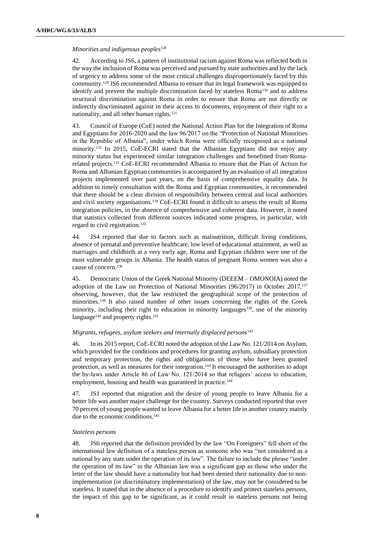### *Minorities and indigenous peoples*<sup>128</sup>

42. According to JS6, a pattern of institutional racism against Roma was reflected both in the way the inclusion of Roma was perceived and pursued by state authorities and by the lack of urgency to address some of the most critical challenges disproportionately faced by this community.<sup>129</sup> JS6 recommended Albania to ensure that its legal framework was equipped to identify and prevent the multiple discrimination faced by stateless Roma<sup>130</sup> and to address structural discrimination against Roma in order to ensure that Roma are not directly or indirectly discriminated against in their access to documents, enjoyment of their right to a nationality, and all other human rights.<sup>131</sup>

43. Council of Europe (CoE) noted the National Action Plan for the Integration of Roma and Egyptians for 2016-2020 and the law 96/2017 on the "Protection of National Minorities in the Republic of Albania", under which Roma were officially recognised as a national minority.<sup>132</sup> In 2015, CoE-ECRI stated that the Albanian Egyptians did not enjoy any minority status but experienced similar integration challenges and benefitted from Romarelated projects.<sup>133</sup> CoE-ECRI recommended Albania to ensure that the Plan of Action for Roma and Albanian Egyptian communities is accompanied by an evaluation of all integration projects implemented over past years, on the basis of comprehensive equality data. In addition to timely consultation with the Roma and Egyptian communities, it recommended that there should be a clear division of responsibility between central and local authorities and civil society organisations.<sup>134</sup> CoE-ECRI found it difficult to assess the result of Roma integration policies, in the absence of comprehensive and coherent data. However, it noted that statistics collected from different sources indicated some progress, in particular, with regard to civil registration.<sup>135</sup>

44. JS4 reported that due to factors such as malnutrition, difficult living conditions, absence of prenatal and preventive healthcare, low level of educational attainment, as well as marriages and childbirth at a very early age, Roma and Egyptian children were one of the most vulnerable groups in Albania. The health status of pregnant Roma women was also a cause of concern.<sup>136</sup>

45. Democratic Union of the Greek National Minority (DEEEM – OMONOIA) noted the adoption of the Law on Protection of National Minorities (96/2017) in October 2017,<sup>137</sup> observing, however, that the law restricted the geographical scope of the protection of minorities.<sup>138</sup> It also raised number of other issues concerning the rights of the Greek minority, including their right to education in minority languages<sup>139</sup>, use of the minority language<sup>140</sup> and property rights.<sup>141</sup>

### *Migrants, refugees, asylum seekers and internally displaced persons*<sup>142</sup>

46. In its 2015 report, CoE-ECRI noted the adoption of the Law No. 121/2014 on Asylum, which provided for the conditions and procedures for granting asylum, subsidiary protection and temporary protection, the rights and obligations of those who have been granted protection, as well as measures for their integration.<sup>143</sup> It encouraged the authorities to adopt the by-laws under Article 86 of Law No. 121/2014 so that refugees' access to education, employment, housing and health was guaranteed in practice.<sup>144</sup>

47. JS1 reported that migration and the desire of young people to leave Albania for a better life was another major challenge for the country. Surveys conducted reported that over 70 percent of young people wanted to leave Albania for a better life in another country mainly due to the economic conditions.<sup>145</sup>

### *Stateless persons*

48. JS6 reported that the definition provided by the law "On Foreigners" fell short of the international law definition of a stateless person as someone who was "not considered as a national by any state under the operation of its law". The failure to include the phrase "under the operation of its law" in the Albanian law was a significant gap as those who under the letter of the law should have a nationality but had been denied their nationality due to nonimplementation (or discriminatory implementation) of the law, may not be considered to be stateless. It stated that in the absence of a procedure to identify and protect stateless persons, the impact of this gap to be significant, as it could result in stateless persons not being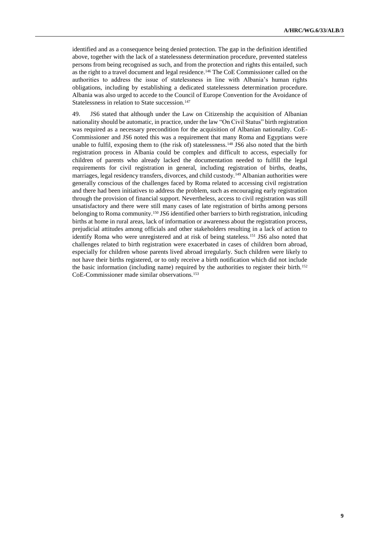identified and as a consequence being denied protection. The gap in the definition identified above, together with the lack of a statelessness determination procedure, prevented stateless persons from being recognised as such, and from the protection and rights this entailed, such as the right to a travel document and legal residence.<sup>146</sup> The CoE Commissioner called on the authorities to address the issue of statelessness in line with Albania's human rights obligations, including by establishing a dedicated statelessness determination procedure. Albania was also urged to accede to the Council of Europe Convention for the Avoidance of Statelessness in relation to State succession.<sup>147</sup>

49. JS6 stated that although under the Law on Citizenship the acquisition of Albanian nationality should be automatic, in practice, under the law "On Civil Status" birth registration was required as a necessary precondition for the acquisition of Albanian nationality. CoE-Commissioner and JS6 noted this was a requirement that many Roma and Egyptians were unable to fulfil, exposing them to (the risk of) statelessness.<sup>148</sup> JS6 also noted that the birth registration process in Albania could be complex and difficult to access, especially for children of parents who already lacked the documentation needed to fulfill the legal requirements for civil registration in general, including registration of births, deaths, marriages, legal residency transfers, divorces, and child custody.<sup>149</sup> Albanian authorities were generally conscious of the challenges faced by Roma related to accessing civil registration and there had been initiatives to address the problem, such as encouraging early registration through the provision of financial support. Nevertheless, access to civil registration was still unsatisfactory and there were still many cases of late registration of births among persons belonging to Roma community.<sup>150</sup> JS6 identified other barriers to birth registration, inlcuding births at home in rural areas, lack of information or awareness about the registration process, prejudicial attitudes among officials and other stakeholders resulting in a lack of action to identify Roma who were unregistered and at risk of being stateless.<sup>151</sup> JS6 also noted that challenges related to birth registration were exacerbated in cases of children born abroad, especially for children whose parents lived abroad irregularly. Such children were likely to not have their births registered, or to only receive a birth notification which did not include the basic information (including name) required by the authorities to register their birth.<sup>152</sup> CoE-Commissioner made similar observations.153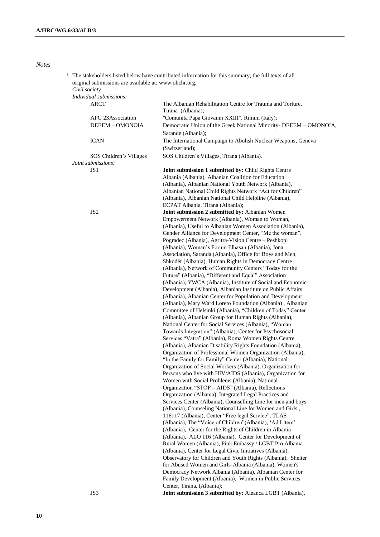#### *Notes*

|  | The stakeholders listed below have contributed information for this summary; the full texts of all<br>original submissions are available at: www.ohchr.org.<br>Civil society |                                                                   |  |
|--|------------------------------------------------------------------------------------------------------------------------------------------------------------------------------|-------------------------------------------------------------------|--|
|  | Individual submissions:                                                                                                                                                      |                                                                   |  |
|  | ARCT                                                                                                                                                                         | The Albanian Rehabilitation Centre for Trauma and Torture,        |  |
|  |                                                                                                                                                                              |                                                                   |  |
|  |                                                                                                                                                                              | Tirana (Albania);                                                 |  |
|  | APG 23Association                                                                                                                                                            | "Comunità Papa Giovanni XXIII", Rimini (Italy);                   |  |
|  | DEEEM - OMONOIA                                                                                                                                                              | Democratic Union of the Greek National Minority- DEEEM - OMONOIA, |  |
|  |                                                                                                                                                                              | Sarande (Albania);                                                |  |
|  | <b>ICAN</b>                                                                                                                                                                  | The International Campaign to Abolish Nuclear Weapons, Geneva     |  |
|  |                                                                                                                                                                              | (Switzerland);                                                    |  |
|  | SOS Children's Villages<br>Joint submissions:                                                                                                                                | SOS Children's Villages, Tirana (Albania).                        |  |
|  | JS <sub>1</sub>                                                                                                                                                              | Joint submission 1 submitted by: Child Rights Centre              |  |
|  |                                                                                                                                                                              | Albania (Albania), Albanian Coalition for Education               |  |
|  |                                                                                                                                                                              | (Albania), Albanian National Youth Network (Albania),             |  |
|  |                                                                                                                                                                              |                                                                   |  |
|  |                                                                                                                                                                              | Albanian National Child Rights Network "Act for Children"         |  |
|  |                                                                                                                                                                              | (Albania), Albanian National Child Helpline (Albania),            |  |
|  |                                                                                                                                                                              | ECPAT Albania, Tirana (Albania);                                  |  |
|  | JS <sub>2</sub>                                                                                                                                                              | Joint submission 2 submitted by: Albanian Women                   |  |
|  |                                                                                                                                                                              | Empowerment Network (Albania), Woman to Woman,                    |  |
|  |                                                                                                                                                                              | (Albania), Useful to Albanian Women Association (Albania),        |  |
|  |                                                                                                                                                                              | Gender Alliance for Development Center, "Me the woman",           |  |
|  |                                                                                                                                                                              | Pogradec (Albania), Agritra-Vision Centre - Peshkopi              |  |
|  |                                                                                                                                                                              | (Albania), Woman's Forum Elbasan (Albania), Jona                  |  |
|  |                                                                                                                                                                              | Association, Saranda (Albania), Office for Boys and Men,          |  |
|  |                                                                                                                                                                              | Shkodër (Albania), Human Rights in Democracy Centre               |  |
|  |                                                                                                                                                                              | (Albania), Network of Community Centers "Today for the            |  |
|  |                                                                                                                                                                              | Future" (Albania), "Different and Equal" Association              |  |
|  |                                                                                                                                                                              | (Albania), YWCA (Albania), Institute of Social and Economic       |  |
|  |                                                                                                                                                                              | Development (Albania), Albanian Institute on Public Affairs       |  |
|  |                                                                                                                                                                              | (Albania), Albanian Center for Population and Development         |  |
|  |                                                                                                                                                                              |                                                                   |  |
|  |                                                                                                                                                                              | (Albania), Mary Ward Loreto Foundation (Albania), Albanian        |  |
|  |                                                                                                                                                                              | Committee of Helsinki (Albania), "Children of Today" Center       |  |
|  |                                                                                                                                                                              | (Albania), Albanian Group for Human Rights (Albania),             |  |
|  |                                                                                                                                                                              | National Center for Social Services (Albania), "Woman             |  |
|  |                                                                                                                                                                              | Towards Integration" (Albania), Center for Psychosocial           |  |
|  |                                                                                                                                                                              | Services "Vatra" (Albania), Roma Women Rights Centre              |  |
|  |                                                                                                                                                                              | (Albania), Albanian Disability Rights Foundation (Albania),       |  |
|  |                                                                                                                                                                              | Organization of Professional Women Organization (Albania),        |  |
|  |                                                                                                                                                                              | "In the Family for Family" Center (Albania), National             |  |
|  |                                                                                                                                                                              | Organization of Social Workers (Albania), Organization for        |  |
|  |                                                                                                                                                                              | Persons who live with HIV/AIDS (Albania), Organization for        |  |
|  |                                                                                                                                                                              | Women with Social Problems (Albania), National                    |  |
|  |                                                                                                                                                                              | Organization "STOP - AIDS" (Albania), Reflections                 |  |
|  |                                                                                                                                                                              | Organization (Albania), Integrated Legal Practices and            |  |
|  |                                                                                                                                                                              | Services Center (Albania), Counselling Line for men and boys      |  |
|  |                                                                                                                                                                              | (Albania), Counseling National Line for Women and Girls,          |  |
|  |                                                                                                                                                                              | 116117 (Albania), Center "Free legal Service", TLAS               |  |
|  |                                                                                                                                                                              | (Albania), The "Voice of Children"(Albania), 'Ad Litem'           |  |
|  |                                                                                                                                                                              | (Albania), Center for the Rights of Children in Albania           |  |
|  |                                                                                                                                                                              |                                                                   |  |
|  |                                                                                                                                                                              | (Albania), ALO 116 (Albania), Center for Development of           |  |
|  |                                                                                                                                                                              | Rural Women (Albania), Pink Embassy / LGBT Pro Albania            |  |
|  |                                                                                                                                                                              | (Albania), Center for Legal Civic Initiatives (Albania),          |  |
|  |                                                                                                                                                                              | Observatory for Children and Youth Rights (Albania), Shelter      |  |
|  |                                                                                                                                                                              | for Abused Women and Girls-Albania (Albania), Women's             |  |
|  |                                                                                                                                                                              | Democracy Network Albania (Albania), Albanian Center for          |  |
|  |                                                                                                                                                                              | Family Development (Albania), Women in Public Services            |  |
|  |                                                                                                                                                                              | Center, Tirana, (Albania);                                        |  |
|  | JS3                                                                                                                                                                          | Joint submission 3 submitted by: Aleanca LGBT (Albania),          |  |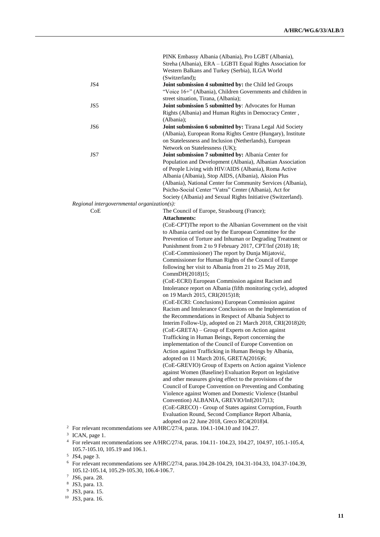|   |                                             | PINK Embassy Albania (Albania), Pro LGBT (Albania),                                                                    |
|---|---------------------------------------------|------------------------------------------------------------------------------------------------------------------------|
|   |                                             | Streha (Albania), ERA - LGBTI Equal Rights Association for                                                             |
|   |                                             | Western Balkans and Turkey (Serbia), ILGA World                                                                        |
|   |                                             | (Switzerland);                                                                                                         |
|   | JS4                                         | Joint submission 4 submitted by: the Child led Groups                                                                  |
|   |                                             | "Voice 16+" (Albania), Children Governments and children in                                                            |
|   | JS5                                         | street situation, Tirana, (Albania);<br>Joint submission 5 submitted by: Advocates for Human                           |
|   |                                             | Rights (Albania) and Human Rights in Democracy Center,                                                                 |
|   |                                             | (Albania);                                                                                                             |
|   | JS <sub>6</sub>                             | Joint submission 6 submitted by: Tirana Legal Aid Society                                                              |
|   |                                             | (Albania), European Roma Rights Centre (Hungary), Institute                                                            |
|   |                                             | on Statelessness and Inclusion (Netherlands), European                                                                 |
|   |                                             | Network on Statelessness (UK);                                                                                         |
|   | JS7                                         | Joint submission 7 submitted by: Albania Center for                                                                    |
|   |                                             | Population and Development (Albania), Albanian Association                                                             |
|   |                                             | of People Living with HIV/AIDS (Albania), Roma Active                                                                  |
|   |                                             | Albania (Albania), Stop AIDS, (Albania), Aksion Plus                                                                   |
|   |                                             | (Albania), National Center for Community Services (Albania),                                                           |
|   |                                             | Psicho-Social Center "Vatra" Center (Albania), Act for                                                                 |
|   |                                             | Society (Albania) and Sexual Rights Initiative (Switzerland).                                                          |
|   | Regional intergovernmental organization(s): |                                                                                                                        |
|   | CoE                                         | The Council of Europe, Strasbourg (France);                                                                            |
|   |                                             | <b>Attachments:</b>                                                                                                    |
|   |                                             | (CoE-CPT)The report to the Albanian Government on the visit                                                            |
|   |                                             | to Albania carried out by the European Committee for the                                                               |
|   |                                             | Prevention of Torture and Inhuman or Degrading Treatment or                                                            |
|   |                                             | Punishment from 2 to 9 February 2017, CPT/Inf (2018) 18;<br>(CoE-Commissioner) The report by Dunja Mijatović,          |
|   |                                             | Commissioner for Human Rights of the Council of Europe                                                                 |
|   |                                             | following her visit to Albania from 21 to 25 May 2018,                                                                 |
|   |                                             | CommDH(2018)15;                                                                                                        |
|   |                                             | (CoE-ECRI) European Commission against Racism and                                                                      |
|   |                                             | Intolerance report on Albania (fifth monitoring cycle), adopted                                                        |
|   |                                             | on 19 March 2015, CRI(2015)18;                                                                                         |
|   |                                             | (CoE-ECRI: Conclusions) European Commission against                                                                    |
|   |                                             | Racism and Intolerance Conclusions on the Implementation of                                                            |
|   |                                             | the Recommendations in Respect of Albania Subject to                                                                   |
|   |                                             | Interim Follow-Up, adopted on 21 March 2018, CRI(2018)20;                                                              |
|   |                                             | (CoE-GRETA) – Group of Experts on Action against                                                                       |
|   |                                             | Trafficking in Human Beings, Report concerning the                                                                     |
|   |                                             | implementation of the Council of Europe Convention on                                                                  |
|   |                                             | Action against Trafficking in Human Beings by Albania,                                                                 |
|   |                                             | adopted on 11 March 2016, GRETA(2016)6;                                                                                |
|   |                                             | (CoE-GREVIO) Group of Experts on Action against Violence                                                               |
|   |                                             | against Women (Baseline) Evaluation Report on legislative<br>and other measures giving effect to the provisions of the |
|   |                                             | Council of Europe Convention on Preventing and Combating                                                               |
|   |                                             | Violence against Women and Domestic Violence (Istanbul                                                                 |
|   |                                             | Convention) ALBANIA, GREVIO/Inf(2017)13;                                                                               |
|   |                                             | (CoE-GRECO) - Group of States against Corruption, Fourth                                                               |
|   |                                             | Evaluation Round, Second Compliance Report Albania,                                                                    |
|   |                                             | adopted on 22 June 2018, Greco RC4(2018)4.                                                                             |
|   |                                             | <sup>2</sup> For relevant recommendations see A/HRC/27/4, paras. 104.1-104.10 and 104.27.                              |
|   | <sup>3</sup> ICAN, page 1.                  |                                                                                                                        |
|   |                                             | For relevant recommendations see A/HRC/27/4, paras. 104.11-104.23, 104.27, 104.97, 105.1-105.4,                        |
|   | 105.7-105.10, 105.19 and 106.1.             |                                                                                                                        |
| 5 | JS4, page 3.                                |                                                                                                                        |

- 
- <sup>6</sup> For relevant recommendations see A/HRC/27/4, paras.104.28-104.29, 104.31-104.33, 104.37-104.39, 105.12-105.14, 105.29-105.30, 106.4-106.7.
- 7 JS6, para. 28. 8 JS3, para. 13. 9 JS3, para. 15.
- 
- 
- <sup>10</sup> JS3, para. 16.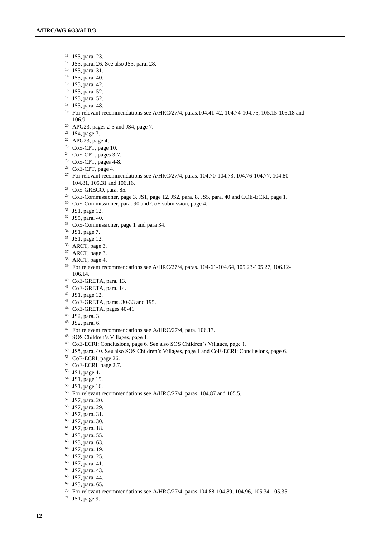- JS3, para. 23.
- JS3, para. 26. See also JS3, para. 28.
- JS3, para. 31.
- JS3, para. 40.
- JS3, para. 42.
- JS3, para. 52.
- JS3, para. 52.
- JS3, para. 48.
- For relevant recommendations see A/HRC/27/4, paras.104.41-42, 104.74-104.75, 105.15-105.18 and 106.9.
- APG23, pages 2-3 and JS4, page 7.
- JS4, page 7.
- APG23, page 4.
- CoE-CPT, page 10.
- CoE-CPT, pages 3-7.
- CoE-CPT, pages 4-8.
- CoE-CPT, page 4.
- <sup>27</sup> For relevant recommendations see A/HRC/27/4, paras. 104.70-104.73, 104.76-104.77, 104.80-104.81, 105.31 and 106.16.
- CoE-GRECO, para. 85.
- CoE-Commissioner, page 3, JS1, page 12, JS2, para. 8, JS5, para. 40 and COE-ECRI, page 1.
- CoE-Commissioner, para. 90 and CoE submission, page 4.
- JS1, page 12.
- JS5, para. 40.
- CoE-Commissioner, page 1 and para 34.
- JS1, page 7.
- JS1, page 12.
- ARCT, page 3.
- <sup>37</sup> ARCT, page 3.
- ARCT, page 4.
- For relevant recommendations see A/HRC/27/4, paras. 104-61-104.64, 105.23-105.27, 106.12- 106.14.
- CoE-GRETA, para. 13.
- CoE-GRETA, para. 14.
- JS1, page 12.
- CoE-GRETA, paras. 30-33 and 195.
- CoE-GRETA, pages 40-41.
- JS2, para. 3.
- JS2, para. 6.
- For relevant recommendations see A/HRC/27/4, para. 106.17.
- SOS Children's Villages, page 1.
- CoE-ECRI: Conclusions, page 6. See also SOS Children's Villages, page 1.
- JS5, para. 40. See also SOS Children's Villages, page 1 and CoE-ECRI: Conclusions, page 6.
- CoE-ECRI, page 26.
- CoE-ECRI, page 2.7.
- JS1, page 4.
- JS1, page 15.
- JS1, page 16.
- For relevant recommendations see A/HRC/27/4, paras. 104.87 and 105.5.
- JS7, para. 20.
- JS7, para. 29.
- JS7, para. 31.
- JS7, para. 30.
- JS7, para. 18.
- JS3, para. 55.
- JS3, para. 63.
- JS7, para. 19.
- JS7, para. 25.
- JS7, para. 41.
- JS7, para. 43.
- JS7, para. 44.
- JS3, para. 65.
- For relevant recommendations see A/HRC/27/4, paras.104.88-104.89, 104.96, 105.34-105.35.
- JS1, page 9.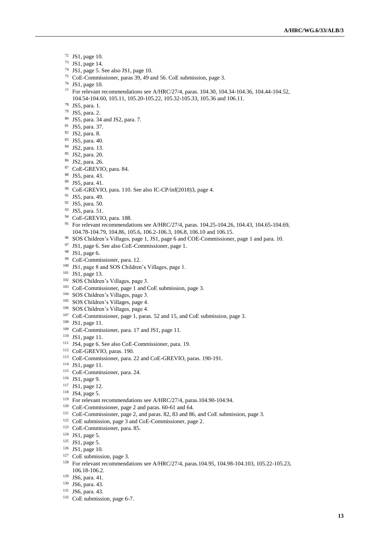- JS1, page 10.
- JS1, page 14.
- JS1, page 5. See also JS1, page 10.
- CoE-Commissioner, paras 39, 49 and 56. CoE submission, page 3.
- JS1, page 10.
- For relevant recommendations see A/HRC/27/4, paras. 104.30, 104.34-104.36, 104.44-104.52, 104.54-104.60, 105.11, 105.20-105.22, 105.32-105.33, 105.36 and 106.11.
- JS5, para. 1.
- JS5, para. 2.
- JS5, para. 34 and JS2, para. 7.
- JS5, para. 37.
- JS2, para. 8.
- JS5, para. 40.
- JS2, para. 13.
- JS2, para. 20.
- JS2, para. 26.
- CoE-GREVIO, para. 84.
- JS5, para. 43.
- JS5, para. 41.
- CoE-GREVIO, para. 110. See also IC-CP/inf(2018)3, page 4.
- JS5, para. 49.
- JS5, para. 50.
- JS5, para. 51.
- <sup>94</sup> CoE-GREVIO, para. 188.
- For relevant recommendations see A/HRC/27/4, paras. 104.25-104.26, 104.43, 104.65-104.69, 104.78-104.79, 104.86, 105.6, 106.2-106.3, 106.8, 106.10 and 106.15.
- SOS Children's Villages, page 1, JS1, page 6 and COE-Commissioner, page 1 and para. 10.
- JS1, page 6. See also CoE-Commissioner, page 1.
- JS1, page 6.
- CoE-Commissioner, para. 12.
- JS1, page 8 and SOS Children's Villages, page 1.
- JS1, page 13.
- SOS Children's Villages, page 3.
- CoE-Commissioner, page 1 and CoE submission, page 3.
- SOS Children's Villages, page 3.
- SOS Children's Villages, page 4.
- SOS Children's Villages, page 4.
- CoE-Commissioner, page 1, paras. 52 and 15, and CoE submission, page 3.
- JS1, page 11.
- CoE-Commissioner, para. 17 and JS1, page 11.
- JS1, page 11.
- JS4, page 6. See also CoE-Commissioner, para. 19.
- CoE-GREVIO, paras. 190.
- CoE-Commissioner, para. 22 and CoE-GREVIO, paras. 190-191.
- JS1, page 11.
- CoE-Commissioner, para. 24.
- JS1, page 9.
- <sup>117</sup> JS1, page 12.
- JS4, page 5.
- For relevant recommendations see A/HRC/27/4, paras.104.90-104.94.
- CoE-Commissioner, page 2 and paras. 60-61 and 64.
- CoE-Commissioner, page 2, and paras. 82, 83 and 86, and CoE submission, page 3.
- CoE submission, page 3 and CoE-Commissioner, page 2.
- CoE-Commissioner, para. 85.
- JS1, page 5.
- JS1, page 5.
- JS1, page 10.
- <sup>127</sup> CoE submission, page 3.
- For relevant recommendations see A/HRC/27/4, paras.104.95, 104.98-104.103, 105.22-105.23, 106.18-106.2.
- JS6, para. 41.
- JS6, para. 43.
- JS6, para. 43.
- CoE submission, page 6-7.